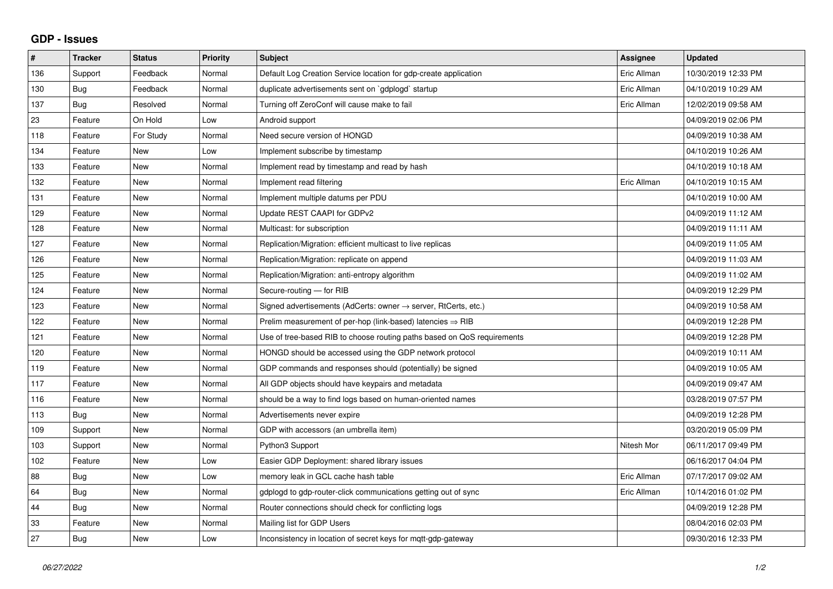## **GDP - Issues**

| $\sharp$ | <b>Tracker</b> | <b>Status</b> | <b>Priority</b> | <b>Subject</b>                                                          | Assignee    | <b>Updated</b>      |
|----------|----------------|---------------|-----------------|-------------------------------------------------------------------------|-------------|---------------------|
| 136      | Support        | Feedback      | Normal          | Default Log Creation Service location for gdp-create application        | Eric Allman | 10/30/2019 12:33 PM |
| 130      | <b>Bug</b>     | Feedback      | Normal          | duplicate advertisements sent on `gdplogd` startup                      | Eric Allman | 04/10/2019 10:29 AM |
| 137      | <b>Bug</b>     | Resolved      | Normal          | Turning off ZeroConf will cause make to fail                            | Eric Allman | 12/02/2019 09:58 AM |
| 23       | Feature        | On Hold       | Low             | Android support                                                         |             | 04/09/2019 02:06 PM |
| 118      | Feature        | For Study     | Normal          | Need secure version of HONGD                                            |             | 04/09/2019 10:38 AM |
| 134      | Feature        | <b>New</b>    | Low             | Implement subscribe by timestamp                                        |             | 04/10/2019 10:26 AM |
| 133      | Feature        | <b>New</b>    | Normal          | Implement read by timestamp and read by hash                            |             | 04/10/2019 10:18 AM |
| 132      | Feature        | <b>New</b>    | Normal          | Implement read filtering                                                | Eric Allman | 04/10/2019 10:15 AM |
| 131      | Feature        | <b>New</b>    | Normal          | Implement multiple datums per PDU                                       |             | 04/10/2019 10:00 AM |
| 129      | Feature        | <b>New</b>    | Normal          | Update REST CAAPI for GDPv2                                             |             | 04/09/2019 11:12 AM |
| 128      | Feature        | <b>New</b>    | Normal          | Multicast: for subscription                                             |             | 04/09/2019 11:11 AM |
| 127      | Feature        | <b>New</b>    | Normal          | Replication/Migration: efficient multicast to live replicas             |             | 04/09/2019 11:05 AM |
| 126      | Feature        | <b>New</b>    | Normal          | Replication/Migration: replicate on append                              |             | 04/09/2019 11:03 AM |
| 125      | Feature        | <b>New</b>    | Normal          | Replication/Migration: anti-entropy algorithm                           |             | 04/09/2019 11:02 AM |
| 124      | Feature        | <b>New</b>    | Normal          | Secure-routing - for RIB                                                |             | 04/09/2019 12:29 PM |
| 123      | Feature        | <b>New</b>    | Normal          | Signed advertisements (AdCerts: owner → server, RtCerts, etc.)          |             | 04/09/2019 10:58 AM |
| 122      | Feature        | <b>New</b>    | Normal          | Prelim measurement of per-hop (link-based) latencies $\Rightarrow$ RIB  |             | 04/09/2019 12:28 PM |
| 121      | Feature        | <b>New</b>    | Normal          | Use of tree-based RIB to choose routing paths based on QoS requirements |             | 04/09/2019 12:28 PM |
| 120      | Feature        | <b>New</b>    | Normal          | HONGD should be accessed using the GDP network protocol                 |             | 04/09/2019 10:11 AM |
| 119      | Feature        | <b>New</b>    | Normal          | GDP commands and responses should (potentially) be signed               |             | 04/09/2019 10:05 AM |
| 117      | Feature        | <b>New</b>    | Normal          | All GDP objects should have keypairs and metadata                       |             | 04/09/2019 09:47 AM |
| 116      | Feature        | <b>New</b>    | Normal          | should be a way to find logs based on human-oriented names              |             | 03/28/2019 07:57 PM |
| 113      | Bug            | <b>New</b>    | Normal          | Advertisements never expire                                             |             | 04/09/2019 12:28 PM |
| 109      | Support        | <b>New</b>    | Normal          | GDP with accessors (an umbrella item)                                   |             | 03/20/2019 05:09 PM |
| 103      | Support        | New           | Normal          | Python3 Support                                                         | Nitesh Mor  | 06/11/2017 09:49 PM |
| 102      | Feature        | <b>New</b>    | Low             | Easier GDP Deployment: shared library issues                            |             | 06/16/2017 04:04 PM |
| 88       | Bug            | <b>New</b>    | Low             | memory leak in GCL cache hash table                                     | Eric Allman | 07/17/2017 09:02 AM |
| 64       | Bug            | New           | Normal          | gdplogd to gdp-router-click communications getting out of sync          | Eric Allman | 10/14/2016 01:02 PM |
| 44       | Bug            | <b>New</b>    | Normal          | Router connections should check for conflicting logs                    |             | 04/09/2019 12:28 PM |
| 33       | Feature        | <b>New</b>    | Normal          | Mailing list for GDP Users                                              |             | 08/04/2016 02:03 PM |
| 27       | <b>Bug</b>     | New           | Low             | Inconsistency in location of secret keys for mgtt-gdp-gateway           |             | 09/30/2016 12:33 PM |